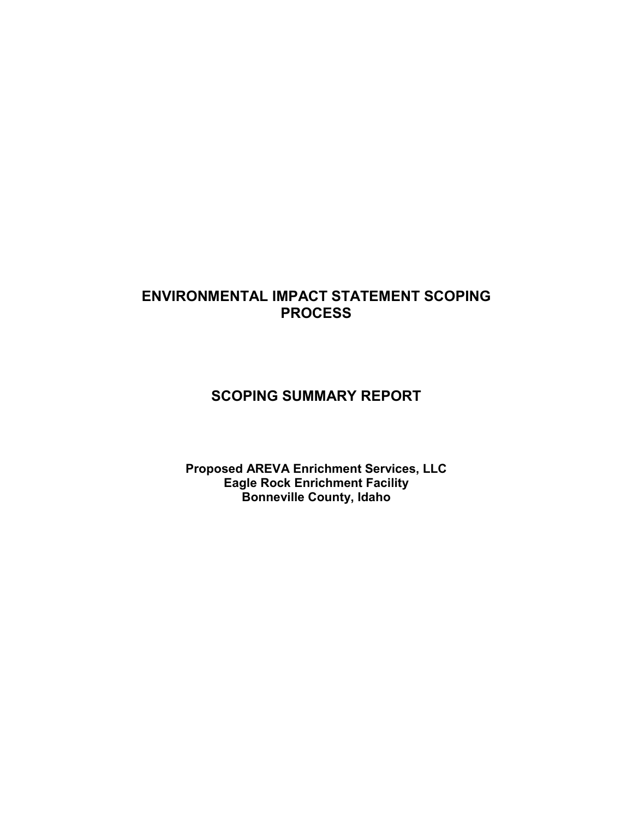# **ENVIRONMENTAL IMPACT STATEMENT SCOPING PROCESS**

# **SCOPING SUMMARY REPORT**

**Proposed AREVA Enrichment Services, LLC Eagle Rock Enrichment Facility Bonneville County, Idaho**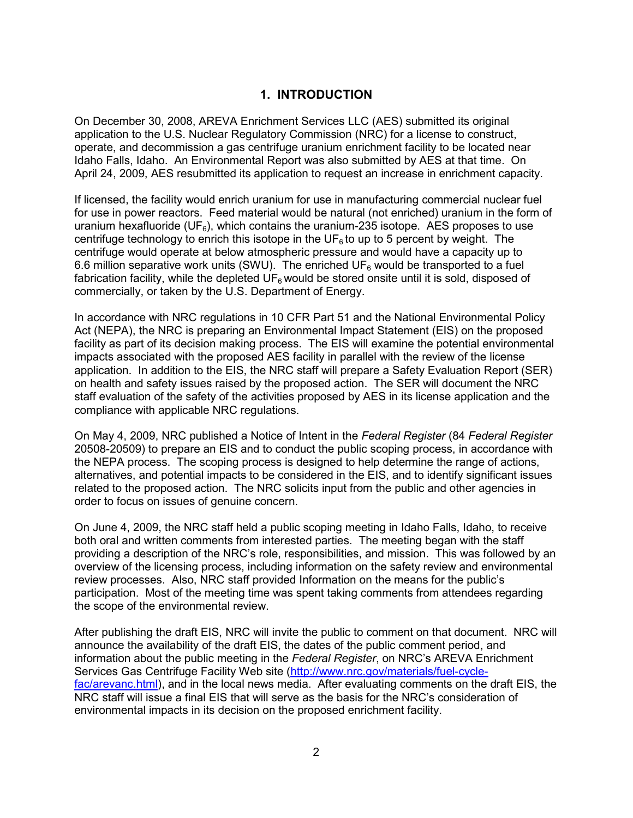## **1. INTRODUCTION**

On December 30, 2008, AREVA Enrichment Services LLC (AES) submitted its original application to the U.S. Nuclear Regulatory Commission (NRC) for a license to construct, operate, and decommission a gas centrifuge uranium enrichment facility to be located near Idaho Falls, Idaho. An Environmental Report was also submitted by AES at that time. On April 24, 2009, AES resubmitted its application to request an increase in enrichment capacity.

If licensed, the facility would enrich uranium for use in manufacturing commercial nuclear fuel for use in power reactors. Feed material would be natural (not enriched) uranium in the form of uranium hexafluoride (UF $_6$ ), which contains the uranium-235 isotope. AES proposes to use centrifuge technology to enrich this isotope in the  $UF<sub>6</sub>$  to up to 5 percent by weight. The centrifuge would operate at below atmospheric pressure and would have a capacity up to 6.6 million separative work units (SWU). The enriched UF<sub>6</sub> would be transported to a fuel fabrication facility, while the depleted  $UF<sub>6</sub>$  would be stored onsite until it is sold, disposed of commercially, or taken by the U.S. Department of Energy.

In accordance with NRC regulations in 10 CFR Part 51 and the National Environmental Policy Act (NEPA), the NRC is preparing an Environmental Impact Statement (EIS) on the proposed facility as part of its decision making process. The EIS will examine the potential environmental impacts associated with the proposed AES facility in parallel with the review of the license application. In addition to the EIS, the NRC staff will prepare a Safety Evaluation Report (SER) on health and safety issues raised by the proposed action. The SER will document the NRC staff evaluation of the safety of the activities proposed by AES in its license application and the compliance with applicable NRC regulations.

On May 4, 2009, NRC published a Notice of Intent in the *Federal Register* (84 *Federal Register* 20508-20509) to prepare an EIS and to conduct the public scoping process, in accordance with the NEPA process. The scoping process is designed to help determine the range of actions, alternatives, and potential impacts to be considered in the EIS, and to identify significant issues related to the proposed action. The NRC solicits input from the public and other agencies in order to focus on issues of genuine concern.

On June 4, 2009, the NRC staff held a public scoping meeting in Idaho Falls, Idaho, to receive both oral and written comments from interested parties. The meeting began with the staff providing a description of the NRC's role, responsibilities, and mission. This was followed by an overview of the licensing process, including information on the safety review and environmental review processes. Also, NRC staff provided Information on the means for the public's participation. Most of the meeting time was spent taking comments from attendees regarding the scope of the environmental review.

After publishing the draft EIS, NRC will invite the public to comment on that document. NRC will announce the availability of the draft EIS, the dates of the public comment period, and information about the public meeting in the *Federal Register*, on NRC's AREVA Enrichment Services Gas Centrifuge Facility Web site (http://www.nrc.gov/materials/fuel-cyclefac/arevanc.html), and in the local news media. After evaluating comments on the draft EIS, the NRC staff will issue a final EIS that will serve as the basis for the NRC's consideration of environmental impacts in its decision on the proposed enrichment facility.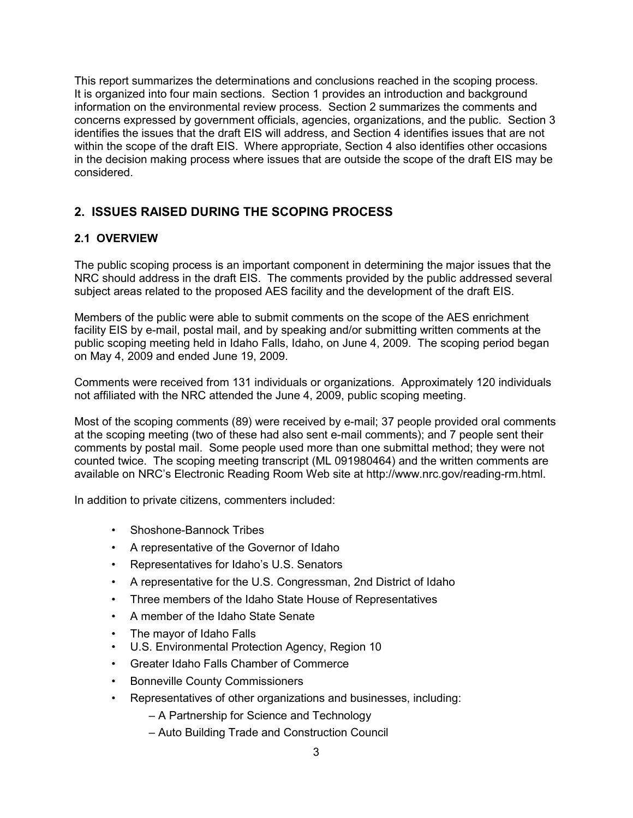This report summarizes the determinations and conclusions reached in the scoping process. It is organized into four main sections. Section 1 provides an introduction and background information on the environmental review process. Section 2 summarizes the comments and concerns expressed by government officials, agencies, organizations, and the public. Section 3 identifies the issues that the draft EIS will address, and Section 4 identifies issues that are not within the scope of the draft EIS. Where appropriate, Section 4 also identifies other occasions in the decision making process where issues that are outside the scope of the draft EIS may be considered.

# **2. ISSUES RAISED DURING THE SCOPING PROCESS**

## **2.1 OVERVIEW**

The public scoping process is an important component in determining the major issues that the NRC should address in the draft EIS. The comments provided by the public addressed several subject areas related to the proposed AES facility and the development of the draft EIS.

Members of the public were able to submit comments on the scope of the AES enrichment facility EIS by e-mail, postal mail, and by speaking and/or submitting written comments at the public scoping meeting held in Idaho Falls, Idaho, on June 4, 2009. The scoping period began on May 4, 2009 and ended June 19, 2009.

Comments were received from 131 individuals or organizations. Approximately 120 individuals not affiliated with the NRC attended the June 4, 2009, public scoping meeting.

Most of the scoping comments (89) were received by e-mail; 37 people provided oral comments at the scoping meeting (two of these had also sent e-mail comments); and 7 people sent their comments by postal mail. Some people used more than one submittal method; they were not counted twice. The scoping meeting transcript (ML 091980464) and the written comments are available on NRC's Electronic Reading Room Web site at http://www.nrc.gov/reading-rm.html.

In addition to private citizens, commenters included:

- Shoshone-Bannock Tribes
- A representative of the Governor of Idaho
- Representatives for Idaho's U.S. Senators
- A representative for the U.S. Congressman, 2nd District of Idaho
- Three members of the Idaho State House of Representatives
- A member of the Idaho State Senate
- The mayor of Idaho Falls
- U.S. Environmental Protection Agency, Region 10
- Greater Idaho Falls Chamber of Commerce
- Bonneville County Commissioners
- Representatives of other organizations and businesses, including:
	- A Partnership for Science and Technology
	- Auto Building Trade and Construction Council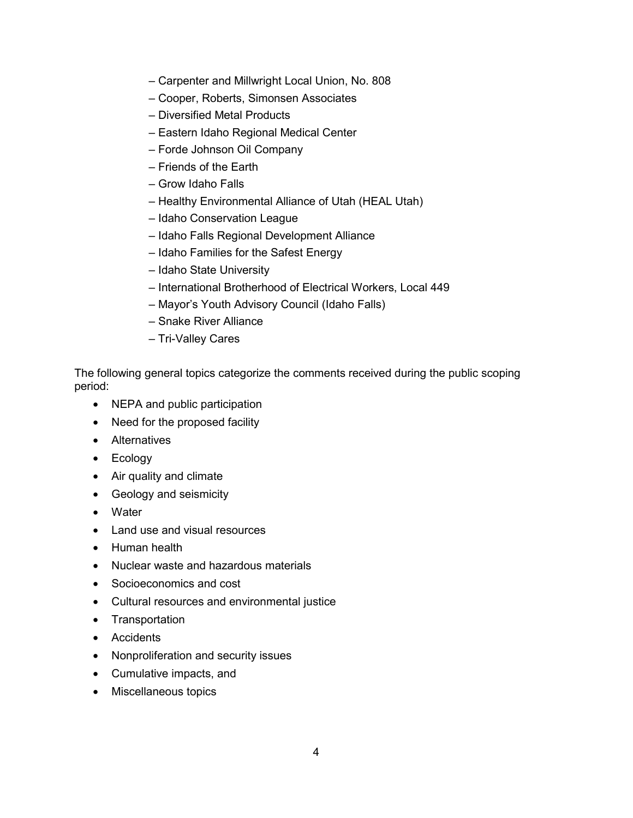- Carpenter and Millwright Local Union, No. 808
- Cooper, Roberts, Simonsen Associates
- Diversified Metal Products
- Eastern Idaho Regional Medical Center
- Forde Johnson Oil Company
- Friends of the Earth
- Grow Idaho Falls
- Healthy Environmental Alliance of Utah (HEAL Utah)
- Idaho Conservation League
- Idaho Falls Regional Development Alliance
- Idaho Families for the Safest Energy
- Idaho State University
- International Brotherhood of Electrical Workers, Local 449
- Mayor's Youth Advisory Council (Idaho Falls)
- Snake River Alliance
- Tri-Valley Cares

The following general topics categorize the comments received during the public scoping period:

- NEPA and public participation
- Need for the proposed facility
- Alternatives
- Ecology
- Air quality and climate
- Geology and seismicity
- Water
- Land use and visual resources
- Human health
- Nuclear waste and hazardous materials
- Socioeconomics and cost
- Cultural resources and environmental justice
- Transportation
- Accidents
- Nonproliferation and security issues
- Cumulative impacts, and
- Miscellaneous topics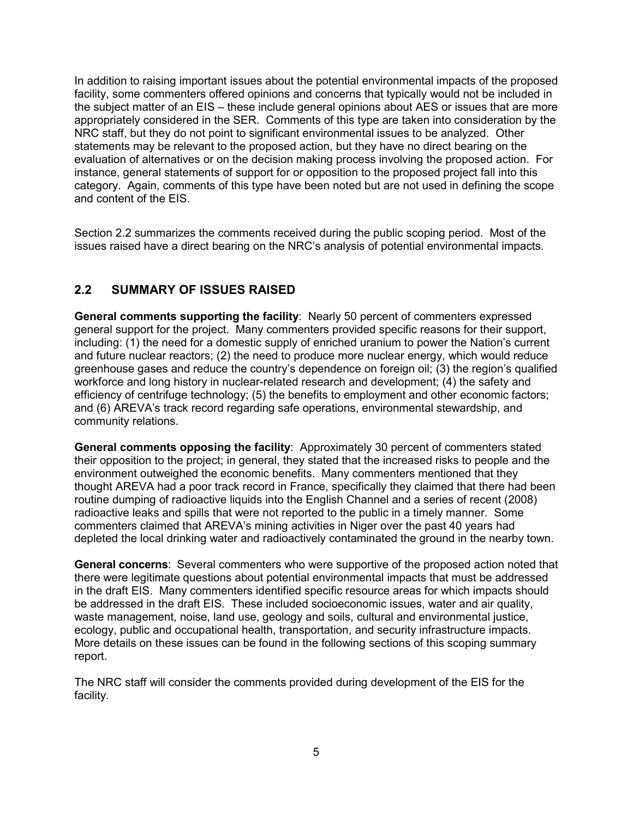In addition to raising important issues about the potential environmental impacts of the proposed facility, some commenters offered opinions and concerns that typically would not be included in the subject matter of an EIS – these include general opinions about AES or issues that are more appropriately considered in the SER. Comments of this type are taken into consideration by the NRC staff, but they do not point to significant environmental issues to be analyzed. Other statements may be relevant to the proposed action, but they have no direct bearing on the evaluation of alternatives or on the decision making process involving the proposed action. For instance, general statements of support for or opposition to the proposed project fall into this category. Again, comments of this type have been noted but are not used in defining the scope and content of the EIS.

Section 2.2 summarizes the comments received during the public scoping period. Most of the issues raised have a direct bearing on the NRC's analysis of potential environmental impacts.

# **2.2 SUMMARY OF ISSUES RAISED**

**General comments supporting the facility**: Nearly 50 percent of commenters expressed general support for the project. Many commenters provided specific reasons for their support, including: (1) the need for a domestic supply of enriched uranium to power the Nation's current and future nuclear reactors; (2) the need to produce more nuclear energy, which would reduce greenhouse gases and reduce the country's dependence on foreign oil; (3) the region's qualified workforce and long history in nuclear-related research and development; (4) the safety and efficiency of centrifuge technology; (5) the benefits to employment and other economic factors; and (6) AREVA's track record regarding safe operations, environmental stewardship, and community relations.

**General comments opposing the facility**:Approximately 30 percent of commenters stated their opposition to the project; in general, they stated that the increased risks to people and the environment outweighed the economic benefits. Many commenters mentioned that they thought AREVA had a poor track record in France, specifically they claimed that there had been routine dumping of radioactive liquids into the English Channel and a series of recent (2008) radioactive leaks and spills that were not reported to the public in a timely manner. Some commenters claimed that AREVA's mining activities in Niger over the past 40 years had depleted the local drinking water and radioactively contaminated the ground in the nearby town.

**General concerns**:Several commenters who were supportive of the proposed action noted that there were legitimate questions about potential environmental impacts that must be addressed in the draft EIS. Many commenters identified specific resource areas for which impacts should be addressed in the draft EIS. These included socioeconomic issues, water and air quality, waste management, noise, land use, geology and soils, cultural and environmental justice, ecology, public and occupational health, transportation, and security infrastructure impacts. More details on these issues can be found in the following sections of this scoping summary report.

The NRC staff will consider the comments provided during development of the EIS for the facility.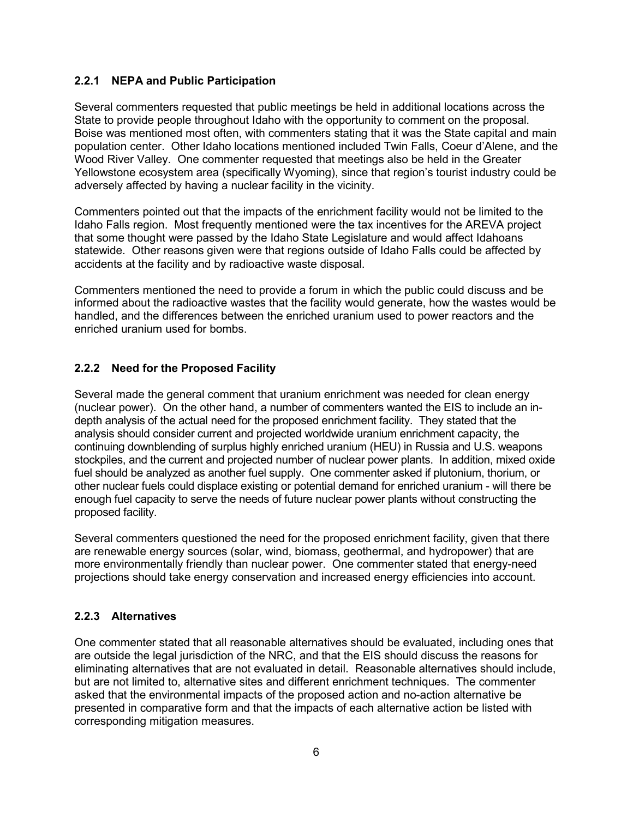#### **2.2.1 NEPA and Public Participation**

Several commenters requested that public meetings be held in additional locations across the State to provide people throughout Idaho with the opportunity to comment on the proposal. Boise was mentioned most often, with commenters stating that it was the State capital and main population center. Other Idaho locations mentioned included Twin Falls, Coeur d'Alene, and the Wood River Valley. One commenter requested that meetings also be held in the Greater Yellowstone ecosystem area (specifically Wyoming), since that region's tourist industry could be adversely affected by having a nuclear facility in the vicinity.

Commenters pointed out that the impacts of the enrichment facility would not be limited to the Idaho Falls region. Most frequently mentioned were the tax incentives for the AREVA project that some thought were passed by the Idaho State Legislature and would affect Idahoans statewide. Other reasons given were that regions outside of Idaho Falls could be affected by accidents at the facility and by radioactive waste disposal.

Commenters mentioned the need to provide a forum in which the public could discuss and be informed about the radioactive wastes that the facility would generate, how the wastes would be handled, and the differences between the enriched uranium used to power reactors and the enriched uranium used for bombs.

#### **2.2.2 Need for the Proposed Facility**

Several made the general comment that uranium enrichment was needed for clean energy (nuclear power). On the other hand, a number of commenters wanted the EIS to include an indepth analysis of the actual need for the proposed enrichment facility. They stated that the analysis should consider current and projected worldwide uranium enrichment capacity, the continuing downblending of surplus highly enriched uranium (HEU) in Russia and U.S. weapons stockpiles, and the current and projected number of nuclear power plants. In addition, mixed oxide fuel should be analyzed as another fuel supply. One commenter asked if plutonium, thorium, or other nuclear fuels could displace existing or potential demand for enriched uranium - will there be enough fuel capacity to serve the needs of future nuclear power plants without constructing the proposed facility.

Several commenters questioned the need for the proposed enrichment facility, given that there are renewable energy sources (solar, wind, biomass, geothermal, and hydropower) that are more environmentally friendly than nuclear power. One commenter stated that energy-need projections should take energy conservation and increased energy efficiencies into account.

#### **2.2.3 Alternatives**

One commenter stated that all reasonable alternatives should be evaluated, including ones that are outside the legal jurisdiction of the NRC, and that the EIS should discuss the reasons for eliminating alternatives that are not evaluated in detail. Reasonable alternatives should include, but are not limited to, alternative sites and different enrichment techniques. The commenter asked that the environmental impacts of the proposed action and no-action alternative be presented in comparative form and that the impacts of each alternative action be listed with corresponding mitigation measures.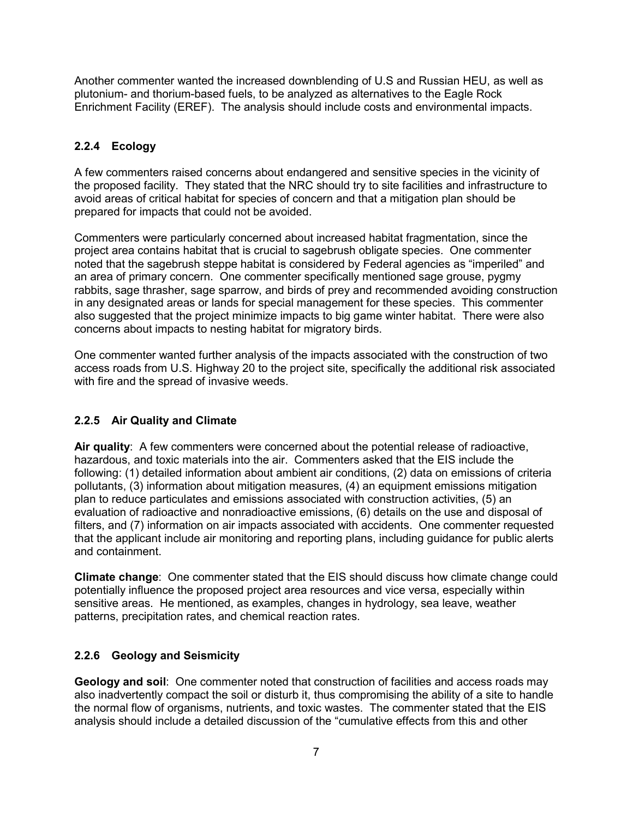Another commenter wanted the increased downblending of U.S and Russian HEU, as well as plutonium- and thorium-based fuels, to be analyzed as alternatives to the Eagle Rock Enrichment Facility (EREF). The analysis should include costs and environmental impacts.

### **2.2.4 Ecology**

A few commenters raised concerns about endangered and sensitive species in the vicinity of the proposed facility. They stated that the NRC should try to site facilities and infrastructure to avoid areas of critical habitat for species of concern and that a mitigation plan should be prepared for impacts that could not be avoided.

Commenters were particularly concerned about increased habitat fragmentation, since the project area contains habitat that is crucial to sagebrush obligate species. One commenter noted that the sagebrush steppe habitat is considered by Federal agencies as "imperiled" and an area of primary concern. One commenter specifically mentioned sage grouse, pygmy rabbits, sage thrasher, sage sparrow, and birds of prey and recommended avoiding construction in any designated areas or lands for special management for these species. This commenter also suggested that the project minimize impacts to big game winter habitat. There were also concerns about impacts to nesting habitat for migratory birds.

One commenter wanted further analysis of the impacts associated with the construction of two access roads from U.S. Highway 20 to the project site, specifically the additional risk associated with fire and the spread of invasive weeds.

### **2.2.5 Air Quality and Climate**

**Air quality**:A few commenters were concerned about the potential release of radioactive, hazardous, and toxic materials into the air. Commenters asked that the EIS include the following: (1) detailed information about ambient air conditions, (2) data on emissions of criteria pollutants, (3) information about mitigation measures, (4) an equipment emissions mitigation plan to reduce particulates and emissions associated with construction activities, (5) an evaluation of radioactive and nonradioactive emissions, (6) details on the use and disposal of filters, and (7) information on air impacts associated with accidents. One commenter requested that the applicant include air monitoring and reporting plans, including guidance for public alerts and containment.

**Climate change**:One commenter stated that the EIS should discuss how climate change could potentially influence the proposed project area resources and vice versa, especially within sensitive areas. He mentioned, as examples, changes in hydrology, sea leave, weather patterns, precipitation rates, and chemical reaction rates.

### **2.2.6 Geology and Seismicity**

**Geology and soil**:One commenter noted that construction of facilities and access roads may also inadvertently compact the soil or disturb it, thus compromising the ability of a site to handle the normal flow of organisms, nutrients, and toxic wastes. The commenter stated that the EIS analysis should include a detailed discussion of the "cumulative effects from this and other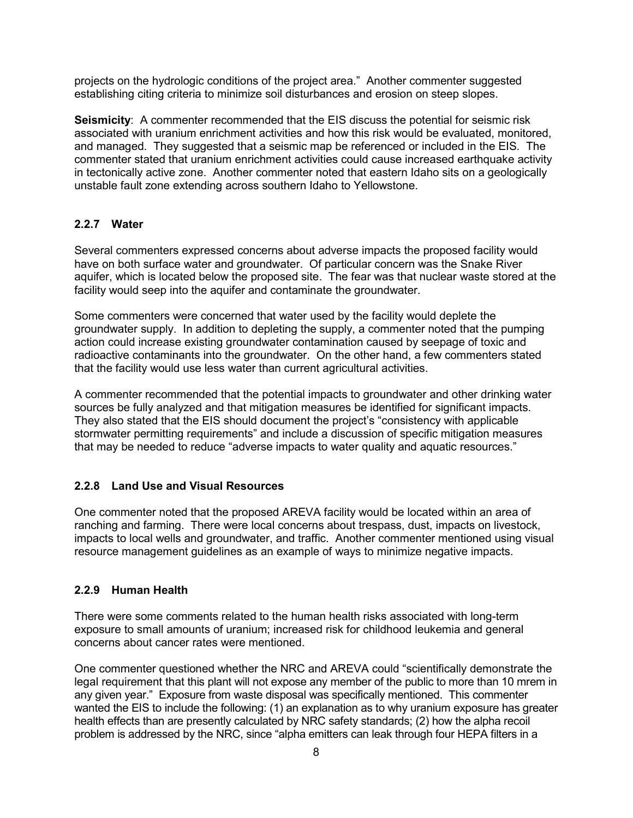projects on the hydrologic conditions of the project area." Another commenter suggested establishing citing criteria to minimize soil disturbances and erosion on steep slopes.

**Seismicity**: A commenter recommended that the EIS discuss the potential for seismic risk associated with uranium enrichment activities and how this risk would be evaluated, monitored, and managed. They suggested that a seismic map be referenced or included in the EIS. The commenter stated that uranium enrichment activities could cause increased earthquake activity in tectonically active zone. Another commenter noted that eastern Idaho sits on a geologically unstable fault zone extending across southern Idaho to Yellowstone.

#### **2.2.7 Water**

Several commenters expressed concerns about adverse impacts the proposed facility would have on both surface water and groundwater. Of particular concern was the Snake River aquifer, which is located below the proposed site. The fear was that nuclear waste stored at the facility would seep into the aquifer and contaminate the groundwater.

Some commenters were concerned that water used by the facility would deplete the groundwater supply. In addition to depleting the supply, a commenter noted that the pumping action could increase existing groundwater contamination caused by seepage of toxic and radioactive contaminants into the groundwater. On the other hand, a few commenters stated that the facility would use less water than current agricultural activities.

A commenter recommended that the potential impacts to groundwater and other drinking water sources be fully analyzed and that mitigation measures be identified for significant impacts. They also stated that the EIS should document the project's "consistency with applicable stormwater permitting requirements" and include a discussion of specific mitigation measures that may be needed to reduce "adverse impacts to water quality and aquatic resources."

#### **2.2.8 Land Use and Visual Resources**

One commenter noted that the proposed AREVA facility would be located within an area of ranching and farming. There were local concerns about trespass, dust, impacts on livestock, impacts to local wells and groundwater, and traffic. Another commenter mentioned using visual resource management guidelines as an example of ways to minimize negative impacts.

#### **2.2.9 Human Health**

There were some comments related to the human health risks associated with long-term exposure to small amounts of uranium; increased risk for childhood leukemia and general concerns about cancer rates were mentioned.

One commenter questioned whether the NRC and AREVA could "scientifically demonstrate the legal requirement that this plant will not expose any member of the public to more than 10 mrem in any given year." Exposure from waste disposal was specifically mentioned. This commenter wanted the EIS to include the following: (1) an explanation as to why uranium exposure has greater health effects than are presently calculated by NRC safety standards; (2) how the alpha recoil problem is addressed by the NRC, since "alpha emitters can leak through four HEPA filters in a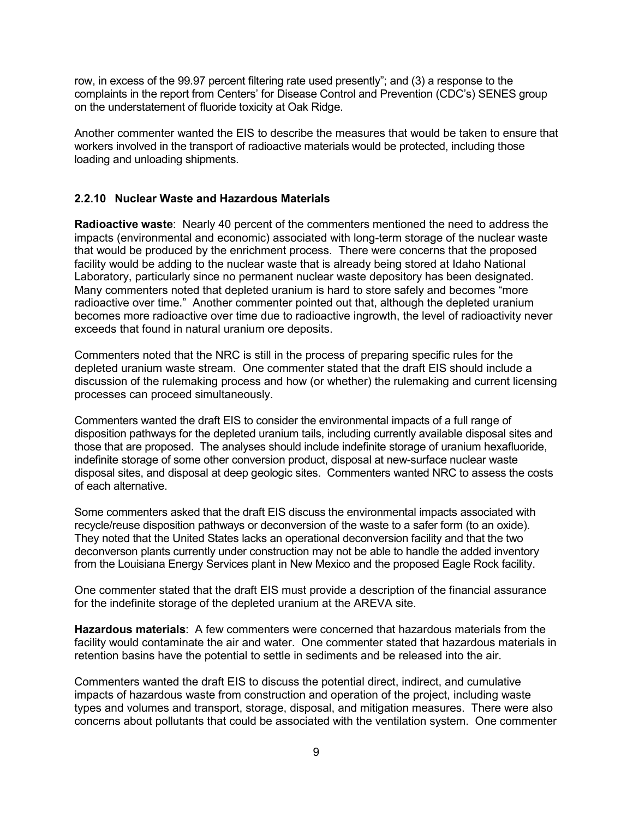row, in excess of the 99.97 percent filtering rate used presently"; and (3) a response to the complaints in the report from Centers' for Disease Control and Prevention (CDC's) SENES group on the understatement of fluoride toxicity at Oak Ridge.

Another commenter wanted the EIS to describe the measures that would be taken to ensure that workers involved in the transport of radioactive materials would be protected, including those loading and unloading shipments.

#### **2.2.10 Nuclear Waste and Hazardous Materials**

**Radioactive waste**: Nearly 40 percent of the commenters mentioned the need to address the impacts (environmental and economic) associated with long-term storage of the nuclear waste that would be produced by the enrichment process. There were concerns that the proposed facility would be adding to the nuclear waste that is already being stored at Idaho National Laboratory, particularly since no permanent nuclear waste depository has been designated. Many commenters noted that depleted uranium is hard to store safely and becomes "more radioactive over time." Another commenter pointed out that, although the depleted uranium becomes more radioactive over time due to radioactive ingrowth, the level of radioactivity never exceeds that found in natural uranium ore deposits.

Commenters noted that the NRC is still in the process of preparing specific rules for the depleted uranium waste stream. One commenter stated that the draft EIS should include a discussion of the rulemaking process and how (or whether) the rulemaking and current licensing processes can proceed simultaneously.

Commenters wanted the draft EIS to consider the environmental impacts of a full range of disposition pathways for the depleted uranium tails, including currently available disposal sites and those that are proposed. The analyses should include indefinite storage of uranium hexafluoride, indefinite storage of some other conversion product, disposal at new-surface nuclear waste disposal sites, and disposal at deep geologic sites. Commenters wanted NRC to assess the costs of each alternative.

Some commenters asked that the draft EIS discuss the environmental impacts associated with recycle/reuse disposition pathways or deconversion of the waste to a safer form (to an oxide). They noted that the United States lacks an operational deconversion facility and that the two deconverson plants currently under construction may not be able to handle the added inventory from the Louisiana Energy Services plant in New Mexico and the proposed Eagle Rock facility.

One commenter stated that the draft EIS must provide a description of the financial assurance for the indefinite storage of the depleted uranium at the AREVA site.

**Hazardous materials**: A few commenters were concerned that hazardous materials from the facility would contaminate the air and water. One commenter stated that hazardous materials in retention basins have the potential to settle in sediments and be released into the air.

Commenters wanted the draft EIS to discuss the potential direct, indirect, and cumulative impacts of hazardous waste from construction and operation of the project, including waste types and volumes and transport, storage, disposal, and mitigation measures. There were also concerns about pollutants that could be associated with the ventilation system. One commenter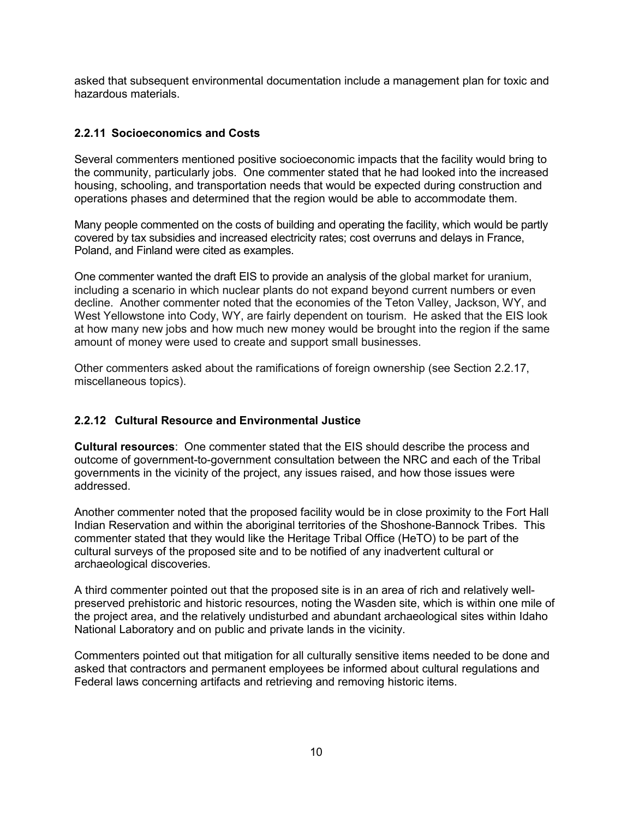asked that subsequent environmental documentation include a management plan for toxic and hazardous materials.

#### **2.2.11 Socioeconomics and Costs**

Several commenters mentioned positive socioeconomic impacts that the facility would bring to the community, particularly jobs. One commenter stated that he had looked into the increased housing, schooling, and transportation needs that would be expected during construction and operations phases and determined that the region would be able to accommodate them.

Many people commented on the costs of building and operating the facility, which would be partly covered by tax subsidies and increased electricity rates; cost overruns and delays in France, Poland, and Finland were cited as examples.

One commenter wanted the draft EIS to provide an analysis of the global market for uranium, including a scenario in which nuclear plants do not expand beyond current numbers or even decline. Another commenter noted that the economies of the Teton Valley, Jackson, WY, and West Yellowstone into Cody, WY, are fairly dependent on tourism. He asked that the EIS look at how many new jobs and how much new money would be brought into the region if the same amount of money were used to create and support small businesses.

Other commenters asked about the ramifications of foreign ownership (see Section 2.2.17, miscellaneous topics).

#### **2.2.12 Cultural Resource and Environmental Justice**

**Cultural resources**:One commenter stated that the EIS should describe the process and outcome of government-to-government consultation between the NRC and each of the Tribal governments in the vicinity of the project, any issues raised, and how those issues were addressed.

Another commenter noted that the proposed facility would be in close proximity to the Fort Hall Indian Reservation and within the aboriginal territories of the Shoshone-Bannock Tribes. This commenter stated that they would like the Heritage Tribal Office (HeTO) to be part of the cultural surveys of the proposed site and to be notified of any inadvertent cultural or archaeological discoveries.

A third commenter pointed out that the proposed site is in an area of rich and relatively wellpreserved prehistoric and historic resources, noting the Wasden site, which is within one mile of the project area, and the relatively undisturbed and abundant archaeological sites within Idaho National Laboratory and on public and private lands in the vicinity.

Commenters pointed out that mitigation for all culturally sensitive items needed to be done and asked that contractors and permanent employees be informed about cultural regulations and Federal laws concerning artifacts and retrieving and removing historic items.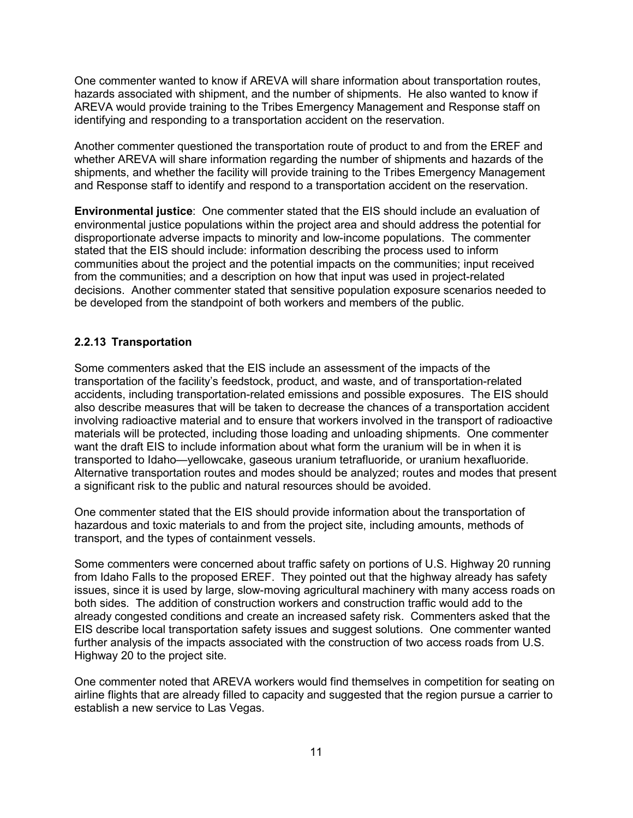One commenter wanted to know if AREVA will share information about transportation routes, hazards associated with shipment, and the number of shipments. He also wanted to know if AREVA would provide training to the Tribes Emergency Management and Response staff on identifying and responding to a transportation accident on the reservation.

Another commenter questioned the transportation route of product to and from the EREF and whether AREVA will share information regarding the number of shipments and hazards of the shipments, and whether the facility will provide training to the Tribes Emergency Management and Response staff to identify and respond to a transportation accident on the reservation.

**Environmental justice**:One commenter stated that the EIS should include an evaluation of environmental justice populations within the project area and should address the potential for disproportionate adverse impacts to minority and low-income populations. The commenter stated that the EIS should include: information describing the process used to inform communities about the project and the potential impacts on the communities; input received from the communities; and a description on how that input was used in project-related decisions. Another commenter stated that sensitive population exposure scenarios needed to be developed from the standpoint of both workers and members of the public.

#### **2.2.13 Transportation**

Some commenters asked that the EIS include an assessment of the impacts of the transportation of the facility's feedstock, product, and waste, and of transportation-related accidents, including transportation-related emissions and possible exposures. The EIS should also describe measures that will be taken to decrease the chances of a transportation accident involving radioactive material and to ensure that workers involved in the transport of radioactive materials will be protected, including those loading and unloading shipments. One commenter want the draft EIS to include information about what form the uranium will be in when it is transported to Idaho—yellowcake, gaseous uranium tetrafluoride, or uranium hexafluoride. Alternative transportation routes and modes should be analyzed; routes and modes that present a significant risk to the public and natural resources should be avoided.

One commenter stated that the EIS should provide information about the transportation of hazardous and toxic materials to and from the project site, including amounts, methods of transport, and the types of containment vessels.

Some commenters were concerned about traffic safety on portions of U.S. Highway 20 running from Idaho Falls to the proposed EREF. They pointed out that the highway already has safety issues, since it is used by large, slow-moving agricultural machinery with many access roads on both sides. The addition of construction workers and construction traffic would add to the already congested conditions and create an increased safety risk. Commenters asked that the EIS describe local transportation safety issues and suggest solutions. One commenter wanted further analysis of the impacts associated with the construction of two access roads from U.S. Highway 20 to the project site.

One commenter noted that AREVA workers would find themselves in competition for seating on airline flights that are already filled to capacity and suggested that the region pursue a carrier to establish a new service to Las Vegas.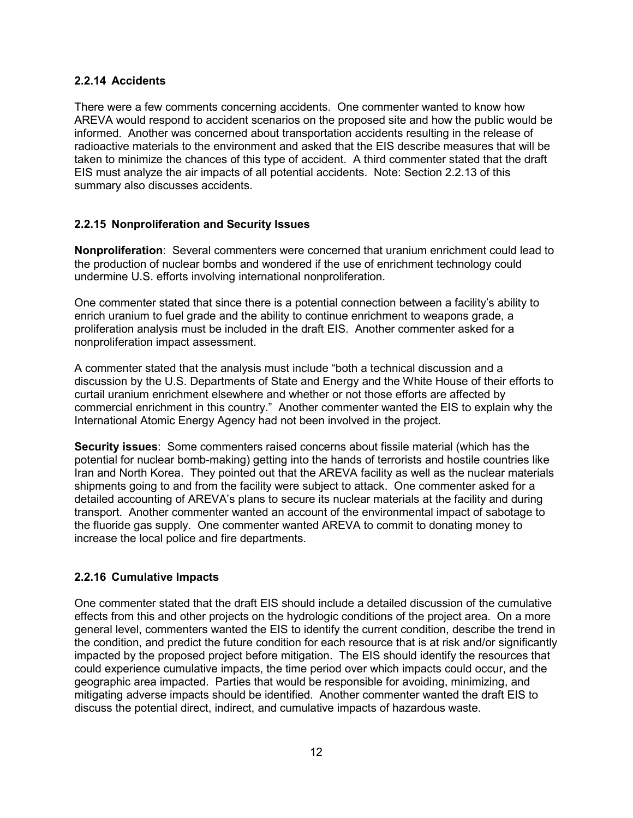#### **2.2.14 Accidents**

There were a few comments concerning accidents. One commenter wanted to know how AREVA would respond to accident scenarios on the proposed site and how the public would be informed. Another was concerned about transportation accidents resulting in the release of radioactive materials to the environment and asked that the EIS describe measures that will be taken to minimize the chances of this type of accident. A third commenter stated that the draft EIS must analyze the air impacts of all potential accidents. Note: Section 2.2.13 of this summary also discusses accidents.

#### **2.2.15 Nonproliferation and Security Issues**

**Nonproliferation**: Several commenters were concerned that uranium enrichment could lead to the production of nuclear bombs and wondered if the use of enrichment technology could undermine U.S. efforts involving international nonproliferation.

One commenter stated that since there is a potential connection between a facility's ability to enrich uranium to fuel grade and the ability to continue enrichment to weapons grade, a proliferation analysis must be included in the draft EIS. Another commenter asked for a nonproliferation impact assessment.

A commenter stated that the analysis must include "both a technical discussion and a discussion by the U.S. Departments of State and Energy and the White House of their efforts to curtail uranium enrichment elsewhere and whether or not those efforts are affected by commercial enrichment in this country." Another commenter wanted the EIS to explain why the International Atomic Energy Agency had not been involved in the project.

**Security issues**:Some commenters raised concerns about fissile material (which has the potential for nuclear bomb-making) getting into the hands of terrorists and hostile countries like Iran and North Korea. They pointed out that the AREVA facility as well as the nuclear materials shipments going to and from the facility were subject to attack. One commenter asked for a detailed accounting of AREVA's plans to secure its nuclear materials at the facility and during transport. Another commenter wanted an account of the environmental impact of sabotage to the fluoride gas supply. One commenter wanted AREVA to commit to donating money to increase the local police and fire departments.

#### **2.2.16 Cumulative Impacts**

One commenter stated that the draft EIS should include a detailed discussion of the cumulative effects from this and other projects on the hydrologic conditions of the project area. On a more general level, commenters wanted the EIS to identify the current condition, describe the trend in the condition, and predict the future condition for each resource that is at risk and/or significantly impacted by the proposed project before mitigation. The EIS should identify the resources that could experience cumulative impacts, the time period over which impacts could occur, and the geographic area impacted. Parties that would be responsible for avoiding, minimizing, and mitigating adverse impacts should be identified. Another commenter wanted the draft EIS to discuss the potential direct, indirect, and cumulative impacts of hazardous waste.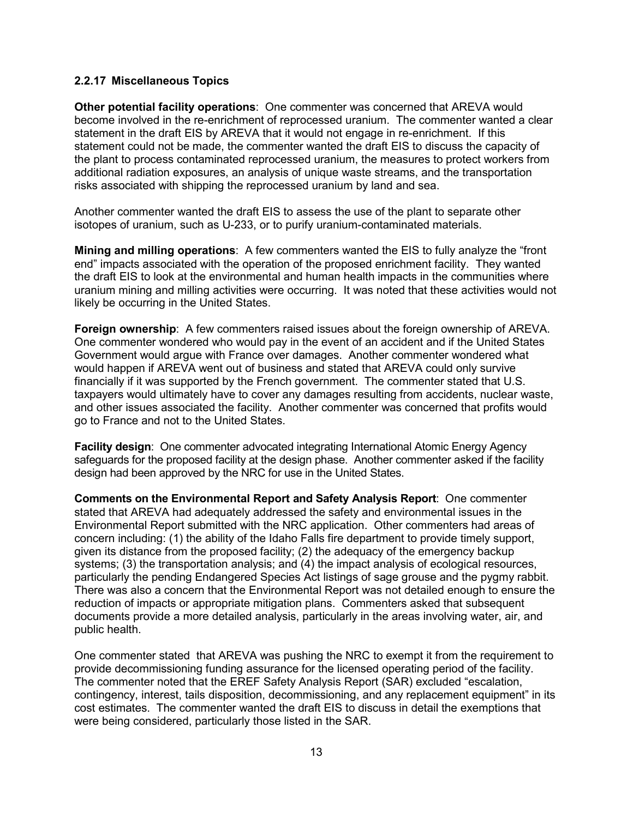#### **2.2.17 Miscellaneous Topics**

**Other potential facility operations**: One commenter was concerned that AREVA would become involved in the re-enrichment of reprocessed uranium. The commenter wanted a clear statement in the draft EIS by AREVA that it would not engage in re-enrichment. If this statement could not be made, the commenter wanted the draft EIS to discuss the capacity of the plant to process contaminated reprocessed uranium, the measures to protect workers from additional radiation exposures, an analysis of unique waste streams, and the transportation risks associated with shipping the reprocessed uranium by land and sea.

Another commenter wanted the draft EIS to assess the use of the plant to separate other isotopes of uranium, such as U-233, or to purify uranium-contaminated materials.

**Mining and milling operations**: A few commenters wanted the EIS to fully analyze the "front end" impacts associated with the operation of the proposed enrichment facility. They wanted the draft EIS to look at the environmental and human health impacts in the communities where uranium mining and milling activities were occurring. It was noted that these activities would not likely be occurring in the United States.

**Foreign ownership**:A few commenters raised issues about the foreign ownership of AREVA. One commenter wondered who would pay in the event of an accident and if the United States Government would argue with France over damages. Another commenter wondered what would happen if AREVA went out of business and stated that AREVA could only survive financially if it was supported by the French government. The commenter stated that U.S. taxpayers would ultimately have to cover any damages resulting from accidents, nuclear waste, and other issues associated the facility. Another commenter was concerned that profits would go to France and not to the United States.

**Facility design**:One commenter advocated integrating International Atomic Energy Agency safeguards for the proposed facility at the design phase. Another commenter asked if the facility design had been approved by the NRC for use in the United States.

**Comments on the Environmental Report and Safety Analysis Report**: One commenter stated that AREVA had adequately addressed the safety and environmental issues in the Environmental Report submitted with the NRC application. Other commenters had areas of concern including: (1) the ability of the Idaho Falls fire department to provide timely support, given its distance from the proposed facility; (2) the adequacy of the emergency backup systems; (3) the transportation analysis; and (4) the impact analysis of ecological resources, particularly the pending Endangered Species Act listings of sage grouse and the pygmy rabbit. There was also a concern that the Environmental Report was not detailed enough to ensure the reduction of impacts or appropriate mitigation plans. Commenters asked that subsequent documents provide a more detailed analysis, particularly in the areas involving water, air, and public health.

One commenter stated that AREVA was pushing the NRC to exempt it from the requirement to provide decommissioning funding assurance for the licensed operating period of the facility. The commenter noted that the EREF Safety Analysis Report (SAR) excluded "escalation, contingency, interest, tails disposition, decommissioning, and any replacement equipment" in its cost estimates. The commenter wanted the draft EIS to discuss in detail the exemptions that were being considered, particularly those listed in the SAR.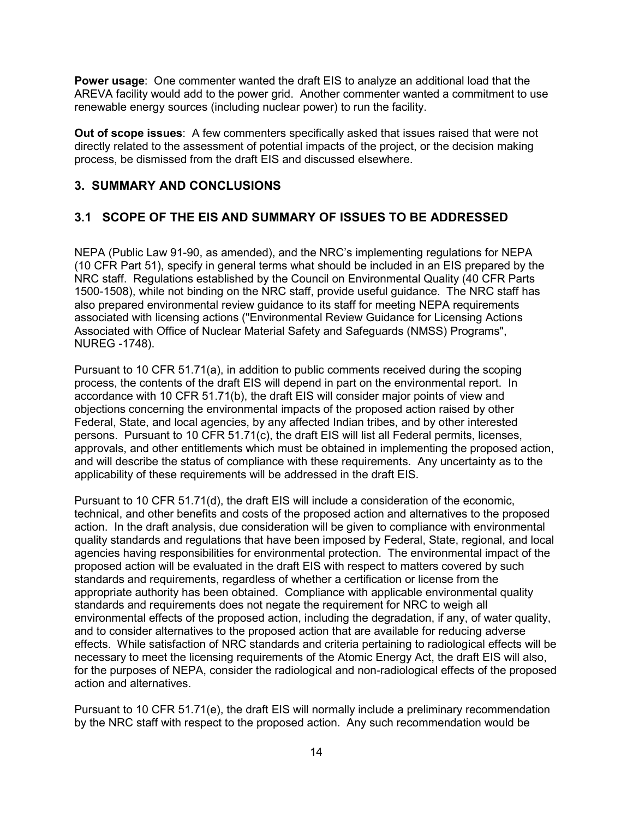**Power usage**:One commenter wanted the draft EIS to analyze an additional load that the AREVA facility would add to the power grid. Another commenter wanted a commitment to use renewable energy sources (including nuclear power) to run the facility.

**Out of scope issues**:A few commenters specifically asked that issues raised that were not directly related to the assessment of potential impacts of the project, or the decision making process, be dismissed from the draft EIS and discussed elsewhere.

# **3. SUMMARY AND CONCLUSIONS**

# **3.1 SCOPE OF THE EIS AND SUMMARY OF ISSUES TO BE ADDRESSED**

NEPA (Public Law 91-90, as amended), and the NRC's implementing regulations for NEPA (10 CFR Part 51), specify in general terms what should be included in an EIS prepared by the NRC staff. Regulations established by the Council on Environmental Quality (40 CFR Parts 1500-1508), while not binding on the NRC staff, provide useful guidance. The NRC staff has also prepared environmental review guidance to its staff for meeting NEPA requirements associated with licensing actions ("Environmental Review Guidance for Licensing Actions Associated with Office of Nuclear Material Safety and Safeguards (NMSS) Programs", NUREG -1748).

Pursuant to 10 CFR 51.71(a), in addition to public comments received during the scoping process, the contents of the draft EIS will depend in part on the environmental report. In accordance with 10 CFR 51.71(b), the draft EIS will consider major points of view and objections concerning the environmental impacts of the proposed action raised by other Federal, State, and local agencies, by any affected Indian tribes, and by other interested persons. Pursuant to 10 CFR 51.71(c), the draft EIS will list all Federal permits, licenses, approvals, and other entitlements which must be obtained in implementing the proposed action, and will describe the status of compliance with these requirements. Any uncertainty as to the applicability of these requirements will be addressed in the draft EIS.

Pursuant to 10 CFR 51.71(d), the draft EIS will include a consideration of the economic, technical, and other benefits and costs of the proposed action and alternatives to the proposed action. In the draft analysis, due consideration will be given to compliance with environmental quality standards and regulations that have been imposed by Federal, State, regional, and local agencies having responsibilities for environmental protection. The environmental impact of the proposed action will be evaluated in the draft EIS with respect to matters covered by such standards and requirements, regardless of whether a certification or license from the appropriate authority has been obtained. Compliance with applicable environmental quality standards and requirements does not negate the requirement for NRC to weigh all environmental effects of the proposed action, including the degradation, if any, of water quality, and to consider alternatives to the proposed action that are available for reducing adverse effects. While satisfaction of NRC standards and criteria pertaining to radiological effects will be necessary to meet the licensing requirements of the Atomic Energy Act, the draft EIS will also, for the purposes of NEPA, consider the radiological and non-radiological effects of the proposed action and alternatives.

Pursuant to 10 CFR 51.71(e), the draft EIS will normally include a preliminary recommendation by the NRC staff with respect to the proposed action. Any such recommendation would be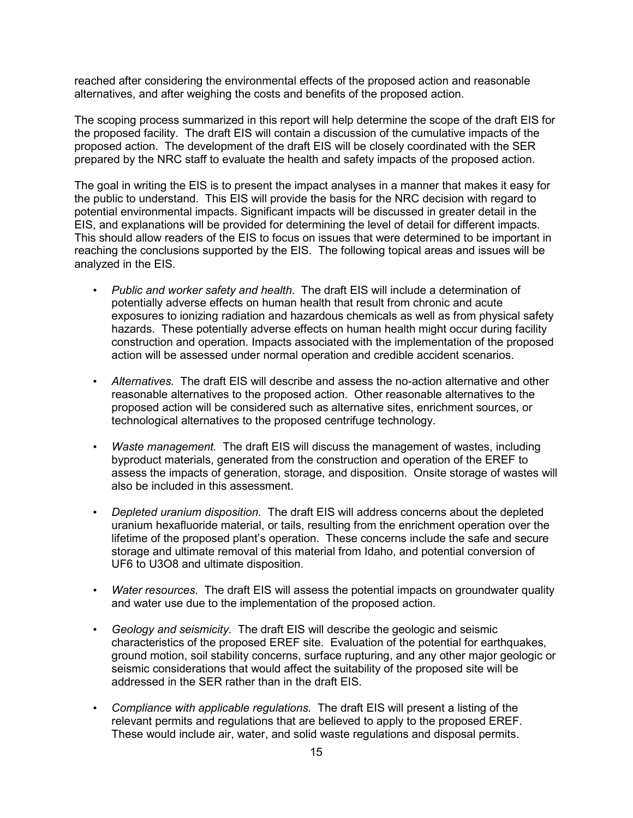reached after considering the environmental effects of the proposed action and reasonable alternatives, and after weighing the costs and benefits of the proposed action.

The scoping process summarized in this report will help determine the scope of the draft EIS for the proposed facility. The draft EIS will contain a discussion of the cumulative impacts of the proposed action. The development of the draft EIS will be closely coordinated with the SER prepared by the NRC staff to evaluate the health and safety impacts of the proposed action.

The goal in writing the EIS is to present the impact analyses in a manner that makes it easy for the public to understand. This EIS will provide the basis for the NRC decision with regard to potential environmental impacts. Significant impacts will be discussed in greater detail in the EIS, and explanations will be provided for determining the level of detail for different impacts. This should allow readers of the EIS to focus on issues that were determined to be important in reaching the conclusions supported by the EIS. The following topical areas and issues will be analyzed in the EIS.

- *Public and worker safety and health*. The draft EIS will include a determination of potentially adverse effects on human health that result from chronic and acute exposures to ionizing radiation and hazardous chemicals as well as from physical safety hazards. These potentially adverse effects on human health might occur during facility construction and operation. Impacts associated with the implementation of the proposed action will be assessed under normal operation and credible accident scenarios.
- *Alternatives.* The draft EIS will describe and assess the no-action alternative and other reasonable alternatives to the proposed action. Other reasonable alternatives to the proposed action will be considered such as alternative sites, enrichment sources, or technological alternatives to the proposed centrifuge technology.
- *Waste management.* The draft EIS will discuss the management of wastes, including byproduct materials, generated from the construction and operation of the EREF to assess the impacts of generation, storage, and disposition. Onsite storage of wastes will also be included in this assessment.
- *Depleted uranium disposition.* The draft EIS will address concerns about the depleted uranium hexafluoride material, or tails, resulting from the enrichment operation over the lifetime of the proposed plant's operation. These concerns include the safe and secure storage and ultimate removal of this material from Idaho, and potential conversion of UF6 to U3O8 and ultimate disposition.
- *Water resources.* The draft EIS will assess the potential impacts on groundwater quality and water use due to the implementation of the proposed action.
- *Geology and seismicity.* The draft EIS will describe the geologic and seismic characteristics of the proposed EREF site. Evaluation of the potential for earthquakes, ground motion, soil stability concerns, surface rupturing, and any other major geologic or seismic considerations that would affect the suitability of the proposed site will be addressed in the SER rather than in the draft EIS.
- *Compliance with applicable regulations.* The draft EIS will present a listing of the relevant permits and regulations that are believed to apply to the proposed EREF. These would include air, water, and solid waste regulations and disposal permits.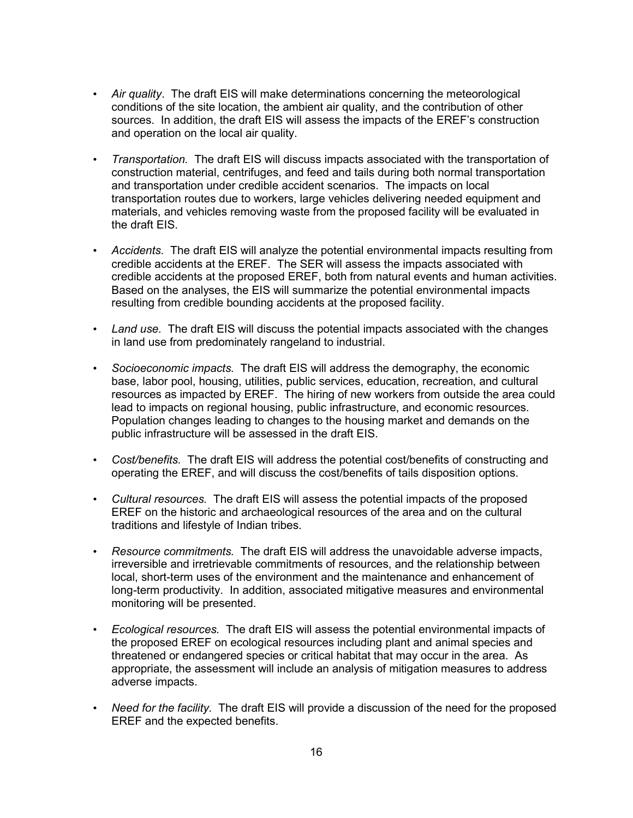- *Air quality*. The draft EIS will make determinations concerning the meteorological conditions of the site location, the ambient air quality, and the contribution of other sources. In addition, the draft EIS will assess the impacts of the EREF's construction and operation on the local air quality.
- *Transportation.* The draft EIS will discuss impacts associated with the transportation of construction material, centrifuges, and feed and tails during both normal transportation and transportation under credible accident scenarios. The impacts on local transportation routes due to workers, large vehicles delivering needed equipment and materials, and vehicles removing waste from the proposed facility will be evaluated in the draft EIS.
- *Accidents.* The draft EIS will analyze the potential environmental impacts resulting from credible accidents at the EREF. The SER will assess the impacts associated with credible accidents at the proposed EREF, both from natural events and human activities. Based on the analyses, the EIS will summarize the potential environmental impacts resulting from credible bounding accidents at the proposed facility.
- *Land use.* The draft EIS will discuss the potential impacts associated with the changes in land use from predominately rangeland to industrial.
- *Socioeconomic impacts.* The draft EIS will address the demography, the economic base, labor pool, housing, utilities, public services, education, recreation, and cultural resources as impacted by EREF. The hiring of new workers from outside the area could lead to impacts on regional housing, public infrastructure, and economic resources. Population changes leading to changes to the housing market and demands on the public infrastructure will be assessed in the draft EIS.
- *Cost/benefits.* The draft EIS will address the potential cost/benefits of constructing and operating the EREF, and will discuss the cost/benefits of tails disposition options.
- *Cultural resources.* The draft EIS will assess the potential impacts of the proposed EREF on the historic and archaeological resources of the area and on the cultural traditions and lifestyle of Indian tribes.
- *Resource commitments.* The draft EIS will address the unavoidable adverse impacts, irreversible and irretrievable commitments of resources, and the relationship between local, short-term uses of the environment and the maintenance and enhancement of long-term productivity. In addition, associated mitigative measures and environmental monitoring will be presented.
- *Ecological resources.* The draft EIS will assess the potential environmental impacts of the proposed EREF on ecological resources including plant and animal species and threatened or endangered species or critical habitat that may occur in the area. As appropriate, the assessment will include an analysis of mitigation measures to address adverse impacts.
- *Need for the facility.* The draft EIS will provide a discussion of the need for the proposed EREF and the expected benefits.